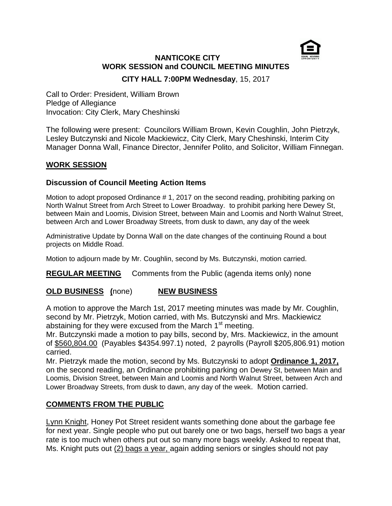

# **NANTICOKE CITY WORK SESSION and COUNCIL MEETING MINUTES**

**CITY HALL 7:00PM Wednesday**, 15, 2017

Call to Order: President, William Brown Pledge of Allegiance Invocation: City Clerk, Mary Cheshinski

The following were present: Councilors William Brown, Kevin Coughlin, John Pietrzyk, Lesley Butczynski and Nicole Mackiewicz, City Clerk, Mary Cheshinski, Interim City Manager Donna Wall, Finance Director, Jennifer Polito, and Solicitor, William Finnegan.

## **WORK SESSION**

### **Discussion of Council Meeting Action Items**

Motion to adopt proposed Ordinance # 1, 2017 on the second reading, prohibiting parking on North Walnut Street from Arch Street to Lower Broadway. to prohibit parking here Dewey St, between Main and Loomis, Division Street, between Main and Loomis and North Walnut Street, between Arch and Lower Broadway Streets, from dusk to dawn, any day of the week

Administrative Update by Donna Wall on the date changes of the continuing Round a bout projects on Middle Road.

Motion to adjourn made by Mr. Coughlin, second by Ms. Butczynski, motion carried.

**REGULAR MEETING** Comments from the Public (agenda items only) none

#### **OLD BUSINESS (**none) **NEW BUSINESS**

A motion to approve the March 1st, 2017 meeting minutes was made by Mr. Coughlin, second by Mr. Pietrzyk, Motion carried, with Ms. Butczynski and Mrs. Mackiewicz abstaining for they were excused from the March  $1<sup>st</sup>$  meeting.

Mr. Butczynski made a motion to pay bills, second by, Mrs. Mackiewicz, in the amount of \$560,804.00 (Payables \$4354.997.1) noted, 2 payrolls (Payroll \$205,806.91) motion carried.

Mr. Pietrzyk made the motion, second by Ms. Butczynski to adopt **Ordinance 1, 2017,** on the second reading, an Ordinance prohibiting parking on Dewey St, between Main and Loomis, Division Street, between Main and Loomis and North Walnut Street, between Arch and Lower Broadway Streets, from dusk to dawn, any day of the week. Motion carried.

#### **COMMENTS FROM THE PUBLIC**

Lynn Knight, Honey Pot Street resident wants something done about the garbage fee for next year. Single people who put out barely one or two bags, herself two bags a year rate is too much when others put out so many more bags weekly. Asked to repeat that, Ms. Knight puts out (2) bags a year, again adding seniors or singles should not pay